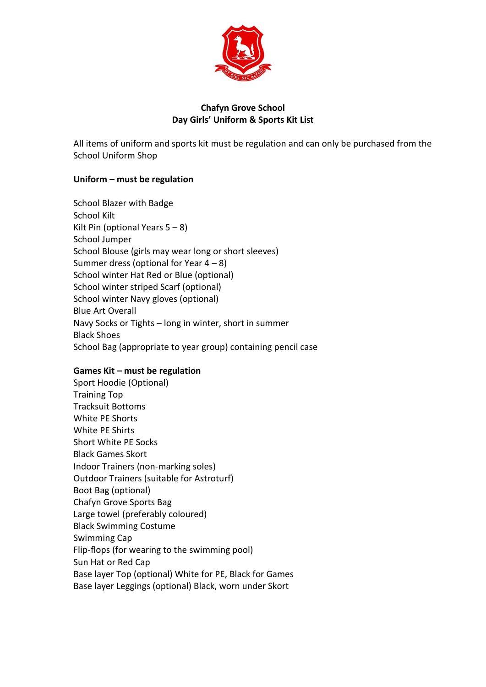

# **Chafyn Grove School Day Girls' Uniform & Sports Kit List**

All items of uniform and sports kit must be regulation and can only be purchased from the School Uniform Shop

### **Uniform – must be regulation**

School Blazer with Badge School Kilt Kilt Pin (optional Years  $5 - 8$ ) School Jumper School Blouse (girls may wear long or short sleeves) Summer dress (optional for Year  $4 - 8$ ) School winter Hat Red or Blue (optional) School winter striped Scarf (optional) School winter Navy gloves (optional) Blue Art Overall Navy Socks or Tights – long in winter, short in summer Black Shoes School Bag (appropriate to year group) containing pencil case

### **Games Kit – must be regulation**

Sport Hoodie (Optional) Training Top Tracksuit Bottoms White PE Shorts White PE Shirts Short White PE Socks Black Games Skort Indoor Trainers (non-marking soles) Outdoor Trainers (suitable for Astroturf) Boot Bag (optional) Chafyn Grove Sports Bag Large towel (preferably coloured) Black Swimming Costume Swimming Cap Flip-flops (for wearing to the swimming pool) Sun Hat or Red Cap Base layer Top (optional) White for PE, Black for Games Base layer Leggings (optional) Black, worn under Skort